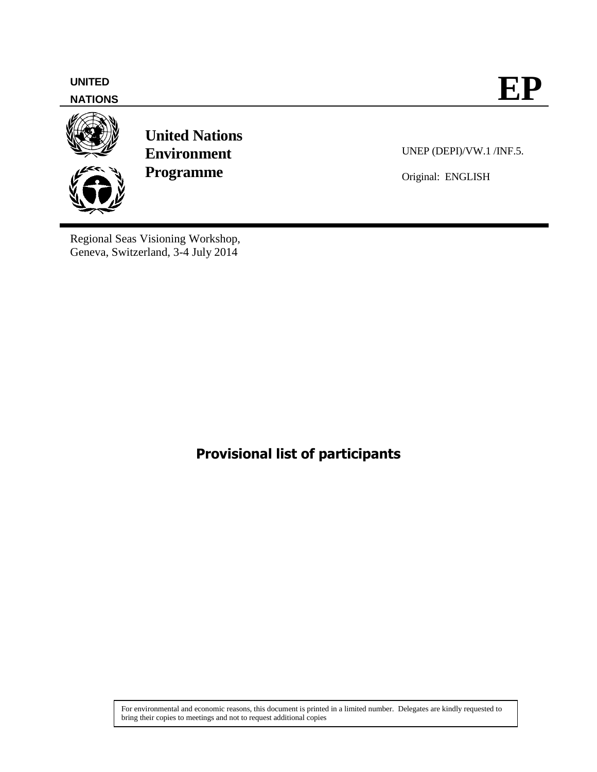

Regional Seas Visioning Workshop, Geneva, Switzerland, 3-4 July 2014

## **Provisional list of participants**

For environmental and economic reasons, this document is printed in a limited number. Delegates are kindly requested to bring their copies to meetings and not to request additional copies